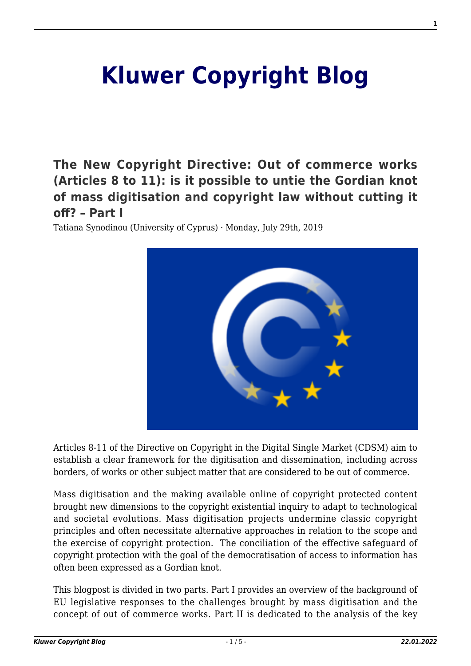# **[Kluwer Copyright Blog](http://copyrightblog.kluweriplaw.com/)**

**[The New Copyright Directive: Out of commerce works](http://copyrightblog.kluweriplaw.com/2019/07/29/the-new-copyright-directive-out-of-commerce-works-articles-8-to-11-is-it-possible-to-untie-the-gordian-knot-of-mass-digitisation-and-copyright-law-without-cutting-it-off-part-i/) [\(Articles 8 to 11\): is it possible to untie the Gordian knot](http://copyrightblog.kluweriplaw.com/2019/07/29/the-new-copyright-directive-out-of-commerce-works-articles-8-to-11-is-it-possible-to-untie-the-gordian-knot-of-mass-digitisation-and-copyright-law-without-cutting-it-off-part-i/) [of mass digitisation and copyright law without cutting it](http://copyrightblog.kluweriplaw.com/2019/07/29/the-new-copyright-directive-out-of-commerce-works-articles-8-to-11-is-it-possible-to-untie-the-gordian-knot-of-mass-digitisation-and-copyright-law-without-cutting-it-off-part-i/) [off? – Part I](http://copyrightblog.kluweriplaw.com/2019/07/29/the-new-copyright-directive-out-of-commerce-works-articles-8-to-11-is-it-possible-to-untie-the-gordian-knot-of-mass-digitisation-and-copyright-law-without-cutting-it-off-part-i/)**

Tatiana Synodinou (University of Cyprus) · Monday, July 29th, 2019



Articles 8-11 of the Directive on Copyright in the Digital Single Market (CDSM) aim to establish a clear framework for the digitisation and dissemination, including across borders, of works or other subject matter that are considered to be out of commerce.

Mass digitisation and the making available online of copyright protected content brought new dimensions to the copyright existential inquiry to adapt to technological and societal evolutions. Mass digitisation projects undermine classic copyright principles and often necessitate alternative approaches in relation to the scope and the exercise of copyright protection. The conciliation of the effective safeguard of copyright protection with the goal of the democratisation of access to information has often been expressed as a Gordian knot.

This blogpost is divided in two parts. Part I provides an overview of the background of EU legislative responses to the challenges brought by mass digitisation and the concept of out of commerce works. Part II is dedicated to the analysis of the key

**1**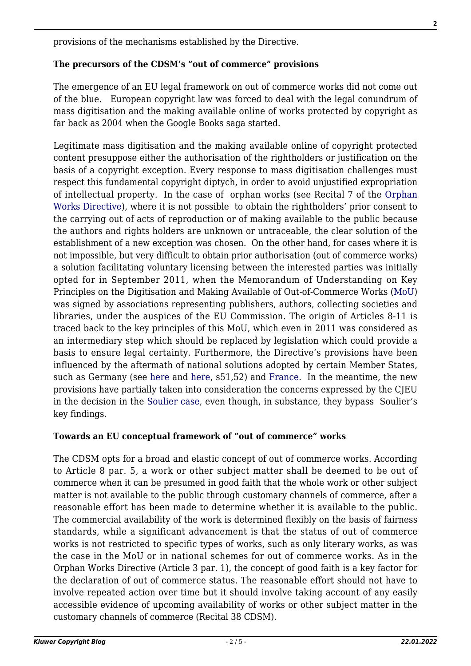provisions of the mechanisms established by the Directive.

### **The precursors of the CDSM's "out of commerce" provisions**

The emergence of an EU legal framework on out of commerce works did not come out of the blue. European copyright law was forced to deal with the legal conundrum of mass digitisation and the making available online of works protected by copyright as far back as 2004 when the Google Books saga started.

Legitimate mass digitisation and the making available online of copyright protected content presuppose either the authorisation of the rightholders or justification on the basis of a copyright exception. Every response to mass digitisation challenges must respect this fundamental copyright diptych, in order to avoid unjustified expropriation of intellectual property. In the case of orphan works (see Recital 7 of the [Orphan](https://eur-lex.europa.eu/legal-content/EN/TXT/HTML/?uri=CELEX:32012L0028&from=EN) [Works Directive\)](https://eur-lex.europa.eu/legal-content/EN/TXT/HTML/?uri=CELEX:32012L0028&from=EN), where it is not possible to obtain the rightholders' prior consent to the carrying out of acts of reproduction or of making available to the public because the authors and rights holders are unknown or untraceable, the clear solution of the establishment of a new exception was chosen. On the other hand, for cases where it is not impossible, but very difficult to obtain prior authorisation (out of commerce works) a solution facilitating voluntary licensing between the interested parties was initially opted for in September 2011, when the Memorandum of Understanding on Key Principles on the Digitisation and Making Available of Out-of-Commerce Works ([MoU\)](http://www.eblida.org/Experts%20Groups%20papers/EGIL-papers/MoU-OOC.pdf) was signed by associations representing publishers, authors, collecting societies and libraries, under the auspices of the EU Commission. The origin of Articles 8-11 is traced back to the key principles of this MoU, which even in 2011 was considered as an intermediary step which should be replaced by legislation which could provide a basis to ensure legal certainty. Furthermore, the Directive's provisions have been influenced by the aftermath of national solutions adopted by certain Member States, such as Germany (see [here](https://www.bgbl.de/xaver/bgbl/start.xav?startbk=Bundesanzeiger_BGBl&bk=Bundesanzeiger_BGBl&start=//*%5b@attr_id=%27bgbl113s3728.pdf%27%5d#__bgbl__%2F%2F*%5B%40attr_id%3D%27bgbl113s3728.pdf%27%5D__1564325324611) and [here,](https://www.gesetze-im-internet.de/vgg/BJNR119010016.html) s51,52) and [France.](https://www.legifrance.gouv.fr/affichTexte.do?cidTexte=JORFTEXT000025422700&categorieLien=id) In the meantime, the new provisions have partially taken into consideration the concerns expressed by the CJEU in the decision in the [Soulier case](http://curia.europa.eu/juris/document/document.jsf;jsessionid=5CF13A25FCF71B32EC68E3CDC5C1EB6E?text=&docid=185423&pageIndex=0&doclang=en&mode=lst&dir=&occ=first&part=1&cid=4348761), even though, in substance, they bypass Soulier's key findings.

#### **Towards an EU conceptual framework of "out of commerce" works**

The CDSM opts for a broad and elastic concept of out of commerce works. According to Article 8 par. 5, a work or other subject matter shall be deemed to be out of commerce when it can be presumed in good faith that the whole work or other subject matter is not available to the public through customary channels of commerce, after a reasonable effort has been made to determine whether it is available to the public. The commercial availability of the work is determined flexibly on the basis of fairness standards, while a significant advancement is that the status of out of commerce works is not restricted to specific types of works, such as only literary works, as was the case in the MoU or in national schemes for out of commerce works. As in the Orphan Works Directive (Article 3 par. 1), the concept of good faith is a key factor for the declaration of out of commerce status. The reasonable effort should not have to involve repeated action over time but it should involve taking account of any easily accessible evidence of upcoming availability of works or other subject matter in the customary channels of commerce (Recital 38 CDSM).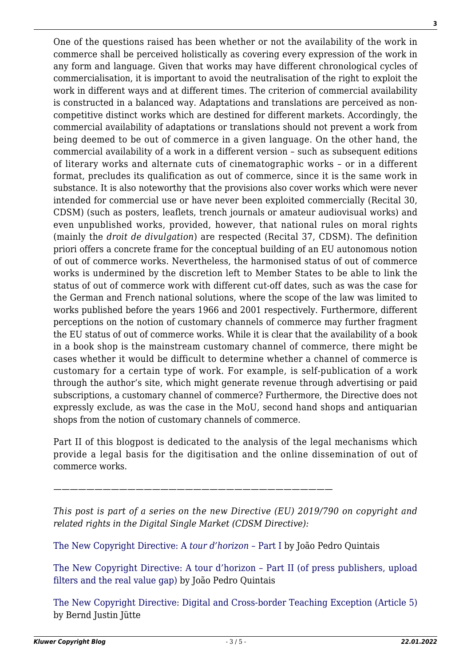commerce shall be perceived holistically as covering every expression of the work in any form and language. Given that works may have different chronological cycles of commercialisation, it is important to avoid the neutralisation of the right to exploit the work in different ways and at different times. The criterion of commercial availability is constructed in a balanced way. Adaptations and translations are perceived as noncompetitive distinct works which are destined for different markets. Accordingly, the commercial availability of adaptations or translations should not prevent a work from being deemed to be out of commerce in a given language. On the other hand, the commercial availability of a work in a different version – such as subsequent editions of literary works and alternate cuts of cinematographic works – or in a different format, precludes its qualification as out of commerce, since it is the same work in substance. It is also noteworthy that the provisions also cover works which were never intended for commercial use or have never been exploited commercially (Recital 30, CDSM) (such as posters, leaflets, trench journals or amateur audiovisual works) and even unpublished works, provided, however, that national rules on moral rights (mainly the *droit de divulgation*) are respected (Recital 37, CDSM). The definition priori offers a concrete frame for the conceptual building of an EU autonomous notion of out of commerce works. Nevertheless, the harmonised status of out of commerce works is undermined by the discretion left to Member States to be able to link the status of out of commerce work with different cut-off dates, such as was the case for the German and French national solutions, where the scope of the law was limited to works published before the years 1966 and 2001 respectively. Furthermore, different perceptions on the notion of customary channels of commerce may further fragment the EU status of out of commerce works. While it is clear that the availability of a book in a book shop is the mainstream customary channel of commerce, there might be cases whether it would be difficult to determine whether a channel of commerce is customary for a certain type of work. For example, is self-publication of a work through the author's site, which might generate revenue through advertising or paid subscriptions, a customary channel of commerce? Furthermore, the Directive does not expressly exclude, as was the case in the MoU, second hand shops and antiquarian shops from the notion of customary channels of commerce. Part II of this blogpost is dedicated to the analysis of the legal mechanisms which provide a legal basis for the digitisation and the online dissemination of out of

One of the questions raised has been whether or not the availability of the work in

commerce works.

*——————————————————————————————————*

*This post is part of a series on the new Directive (EU) 2019/790 on copyright and related rights in the Digital Single Market (CDSM Directive):*

[The New Copyright Directive: A](http://copyrightblog.kluweriplaw.com/2019/06/07/the-new-copyright-directive-a-tour-dhorizon-part-i/) *[tour d'horizon –](http://copyrightblog.kluweriplaw.com/2019/06/07/the-new-copyright-directive-a-tour-dhorizon-part-i/)* [Part I](http://copyrightblog.kluweriplaw.com/2019/06/07/the-new-copyright-directive-a-tour-dhorizon-part-i/) by João Pedro Quintais

[The New Copyright Directive: A tour d'horizon – Part II \(of press publishers, upload](http://copyrightblog.kluweriplaw.com/2019/06/17/the-new-copyright-directive-a-tour-dhorizon-part-ii-of-press-publishers-upload-filters-and-the-real-value-gap/) [filters and the real value gap\)](http://copyrightblog.kluweriplaw.com/2019/06/17/the-new-copyright-directive-a-tour-dhorizon-part-ii-of-press-publishers-upload-filters-and-the-real-value-gap/) by João Pedro Quintais

[The New Copyright Directive: Digital and Cross-border Teaching Exception \(Article 5\)](http://copyrightblog.kluweriplaw.com/2019/06/21/the-new-copyright-directive-digital-and-cross-border-teaching-exception-article-5/) by Bernd Justin Jütte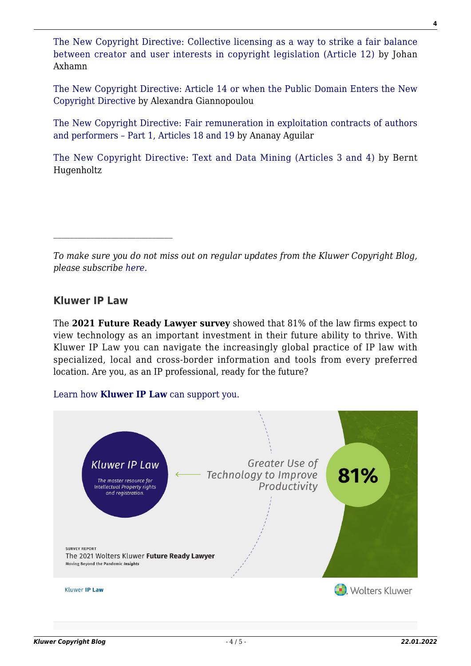[The New Copyright Directive: Collective licensing as a way to strike a fair balance](http://copyrightblog.kluweriplaw.com/2019/06/25/the-new-copyright-directive-collective-licensing-as-a-way-to-strike-a-fair-balance-between-creator-and-user-interests-in-copyright-legislation-article-12/) [between creator and user interests in copyright legislation \(Article 12\)](http://copyrightblog.kluweriplaw.com/2019/06/25/the-new-copyright-directive-collective-licensing-as-a-way-to-strike-a-fair-balance-between-creator-and-user-interests-in-copyright-legislation-article-12/) by Johan Axhamn

[The New Copyright Directive: Article 14 or when the Public Domain Enters the New](http://copyrightblog.kluweriplaw.com/2019/06/27/the-new-copyright-directive-article-14-or-when-the-public-domain-enters-the-new-copyright-directive/) [Copyright Directive](http://copyrightblog.kluweriplaw.com/2019/06/27/the-new-copyright-directive-article-14-or-when-the-public-domain-enters-the-new-copyright-directive/) by Alexandra Giannopoulou

[The New Copyright Directive: Fair remuneration in exploitation contracts of authors](http://copyrightblog.kluweriplaw.com/2019/07/15/the-new-copyright-directive-fair-remuneration-in-exploitation-contracts-of-authors-and-performers-part-1-articles-18-and-19/) [and performers – Part 1, Articles 18 and 19](http://copyrightblog.kluweriplaw.com/2019/07/15/the-new-copyright-directive-fair-remuneration-in-exploitation-contracts-of-authors-and-performers-part-1-articles-18-and-19/) by Ananay Aguilar

[The New Copyright Directive: Text and Data Mining \(Articles 3 and 4\)](http://copyrightblog.kluweriplaw.com/2019/07/24/the-new-copyright-directive-text-and-data-mining-articles-3-and-4/) by Bernt Hugenholtz

## **Kluwer IP Law**

The **2021 Future Ready Lawyer survey** showed that 81% of the law firms expect to view technology as an important investment in their future ability to thrive. With Kluwer IP Law you can navigate the increasingly global practice of IP law with specialized, local and cross-border information and tools from every preferred location. Are you, as an IP professional, ready for the future?

#### [Learn how](https://www.wolterskluwer.com/en/solutions/kluweriplaw?utm_source=copyrightnblog&utm_medium=articleCTA&utm_campaign=article-banner) **[Kluwer IP Law](https://www.wolterskluwer.com/en/solutions/kluweriplaw?utm_source=copyrightnblog&utm_medium=articleCTA&utm_campaign=article-banner)** [can support you.](https://www.wolterskluwer.com/en/solutions/kluweriplaw?utm_source=copyrightnblog&utm_medium=articleCTA&utm_campaign=article-banner)



*To make sure you do not miss out on regular updates from the Kluwer Copyright Blog, please subscribe [here.](http://copyrightblog.kluweriplaw.com/newsletter)*